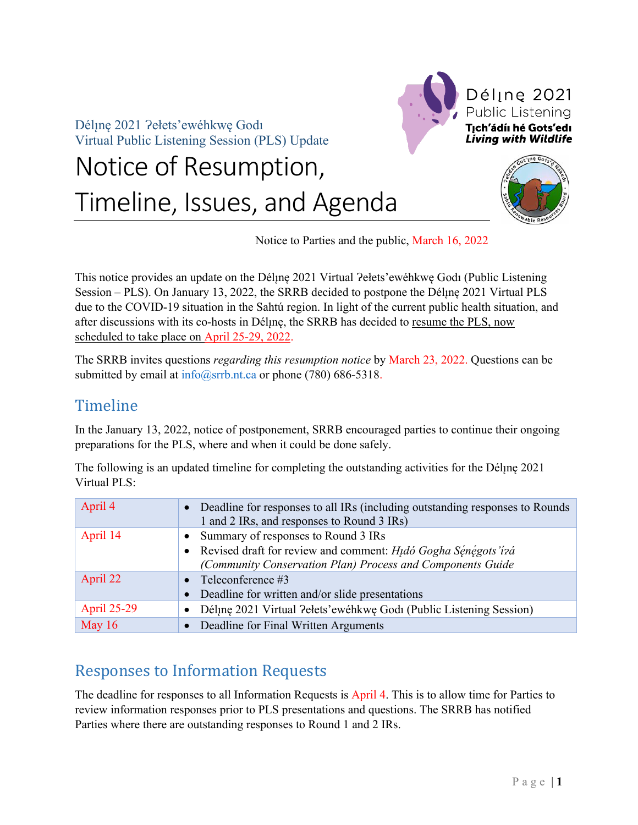Déline 2021 ?ełets'ewéhkwe Godi Virtual Public Listening Session (PLS) Update

# Notice of Resumption, Timeline, Issues, and Agenda





Notice to Parties and the public, March 16, 2022

This notice provides an update on the Déline 2021 Virtual ?elets'ewéhkwe Godi (Public Listening Session – PLS). On January 13, 2022, the SRRB decided to postpone the Dél<sub>i</sub>ne 2021 Virtual PLS due to the COVID-19 situation in the Sahtú region. In light of the current public health situation, and after discussions with its co-hosts in Déline, the SRRB has decided to resume the PLS, now scheduled to take place on April 25-29, 2022.

The SRRB invites questions *regarding this resumption notice* by March 23, 2022. Questions can be submitted by email at info@srrb.nt.ca or phone (780) 686-5318.

## Timeline

In the January 13, 2022, notice of postponement, SRRB encouraged parties to continue their ongoing preparations for the PLS, where and when it could be done safely.

The following is an updated timeline for completing the outstanding activities for the Dél<sub>i</sub>ne 2021 Virtual PLS:

| April 4            | Deadline for responses to all IRs (including outstanding responses to Rounds<br>1 and 2 IRs, and responses to Round 3 IRs) |
|--------------------|----------------------------------------------------------------------------------------------------------------------------|
| April 14           | Summary of responses to Round 3 IRs                                                                                        |
|                    | Revised draft for review and comment: Hudó Gogha Sénégots'í rá<br>$\bullet$                                                |
|                    | (Community Conservation Plan) Process and Components Guide                                                                 |
| April 22           | • Teleconference $#3$                                                                                                      |
|                    | Deadline for written and/or slide presentations                                                                            |
| <b>April 25-29</b> | Déline 2021 Virtual Pełets'ewéhkwe Godi (Public Listening Session)<br>$\bullet$                                            |
| May $16$           | Deadline for Final Written Arguments                                                                                       |

## Responses to Information Requests

The deadline for responses to all Information Requests is April 4. This is to allow time for Parties to review information responses prior to PLS presentations and questions. The SRRB has notified Parties where there are outstanding responses to Round 1 and 2 IRs.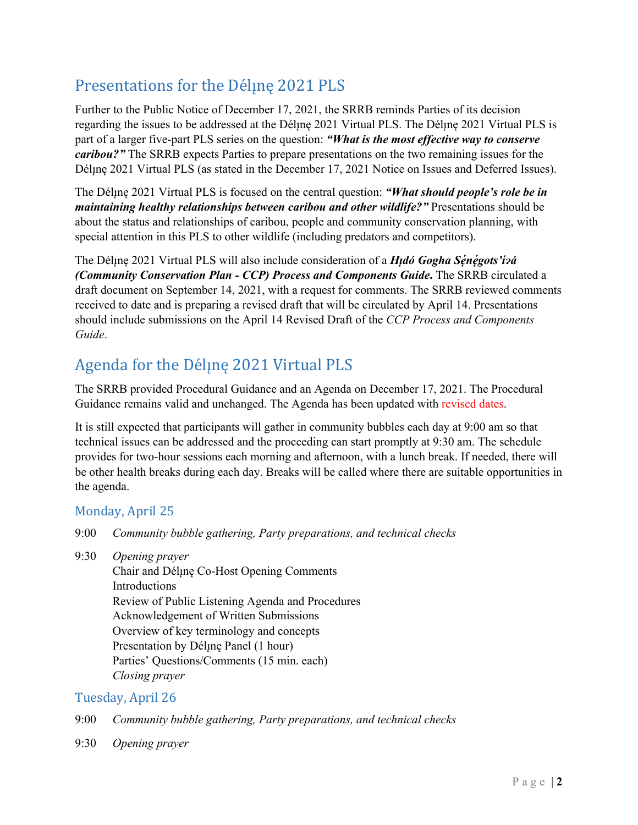# Presentations for the Déline 2021 PLS

Further to the Public Notice of December 17, 2021, the SRRB reminds Parties of its decision regarding the issues to be addressed at the Déline 2021 Virtual PLS. The Déline 2021 Virtual PLS is part of a larger five-part PLS series on the question: *"What is the most effective way to conserve caribou?*" The SRRB expects Parties to prepare presentations on the two remaining issues for the Déline 2021 Virtual PLS (as stated in the December 17, 2021 Notice on Issues and Deferred Issues).

The Dél<sub>l</sub>ne 2021 Virtual PLS is focused on the central question: *"What should people's role be in maintaining healthy relationships between caribou and other wildlife?*" Presentations should be about the status and relationships of caribou, people and community conservation planning, with special attention in this PLS to other wildlife (including predators and competitors).

The Délı̨nę 2021 Virtual PLS will also include consideration of a *Hı̨dó Gogha Sé ̨né ̨gots'ı́ ɂá (Community Conservation Plan - CCP) Process and Components Guide***.** The SRRB circulated a draft document on September 14, 2021, with a request for comments. The SRRB reviewed comments received to date and is preparing a revised draft that will be circulated by April 14. Presentations should include submissions on the April 14 Revised Draft of the *CCP Process and Components Guide*.

# Agenda for the Déline 2021 Virtual PLS

The SRRB provided Procedural Guidance and an Agenda on December 17, 2021. The Procedural Guidance remains valid and unchanged. The Agenda has been updated with revised dates.

It is still expected that participants will gather in community bubbles each day at 9:00 am so that technical issues can be addressed and the proceeding can start promptly at 9:30 am. The schedule provides for two-hour sessions each morning and afternoon, with a lunch break. If needed, there will be other health breaks during each day. Breaks will be called where there are suitable opportunities in the agenda.

## Monday, April 25

- 9:00 *Community bubble gathering, Party preparations, and technical checks*
- 9:30 *Opening prayer*

Chair and Déline Co-Host Opening Comments Introductions Review of Public Listening Agenda and Procedures Acknowledgement of Written Submissions Overview of key terminology and concepts Presentation by Déline Panel (1 hour) Parties' Questions/Comments (15 min. each) *Closing prayer*

## Tuesday, April 26

- 9:00 *Community bubble gathering, Party preparations, and technical checks*
- 9:30 *Opening prayer*